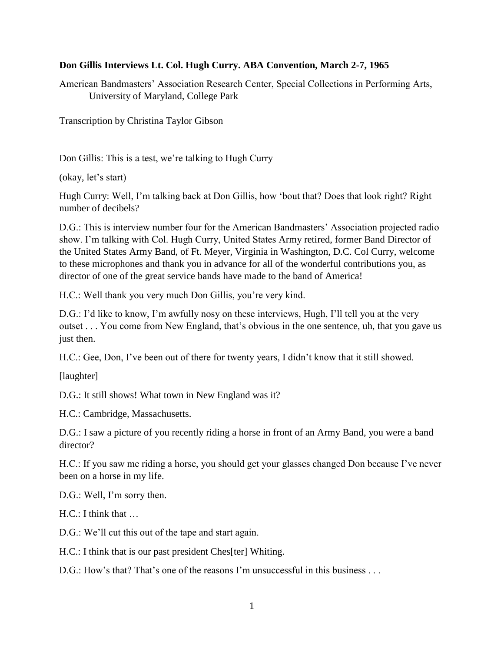## **Don Gillis Interviews Lt. Col. Hugh Curry. ABA Convention, March 2-7, 1965**

American Bandmasters' Association Research Center, Special Collections in Performing Arts, University of Maryland, College Park

Transcription by Christina Taylor Gibson

Don Gillis: This is a test, we're talking to Hugh Curry

(okay, let's start)

Hugh Curry: Well, I'm talking back at Don Gillis, how 'bout that? Does that look right? Right number of decibels?

D.G.: This is interview number four for the American Bandmasters' Association projected radio show. I'm talking with Col. Hugh Curry, United States Army retired, former Band Director of the United States Army Band, of Ft. Meyer, Virginia in Washington, D.C. Col Curry, welcome to these microphones and thank you in advance for all of the wonderful contributions you, as director of one of the great service bands have made to the band of America!

H.C.: Well thank you very much Don Gillis, you're very kind.

D.G.: I'd like to know, I'm awfully nosy on these interviews, Hugh, I'll tell you at the very outset . . . You come from New England, that's obvious in the one sentence, uh, that you gave us just then.

H.C.: Gee, Don, I've been out of there for twenty years, I didn't know that it still showed.

[laughter]

D.G.: It still shows! What town in New England was it?

H.C.: Cambridge, Massachusetts.

D.G.: I saw a picture of you recently riding a horse in front of an Army Band, you were a band director?

H.C.: If you saw me riding a horse, you should get your glasses changed Don because I've never been on a horse in my life.

D.G.: Well, I'm sorry then.

H.C.: I think that …

D.G.: We'll cut this out of the tape and start again.

H.C.: I think that is our past president Ches[ter] Whiting.

D.G.: How's that? That's one of the reasons I'm unsuccessful in this business . . .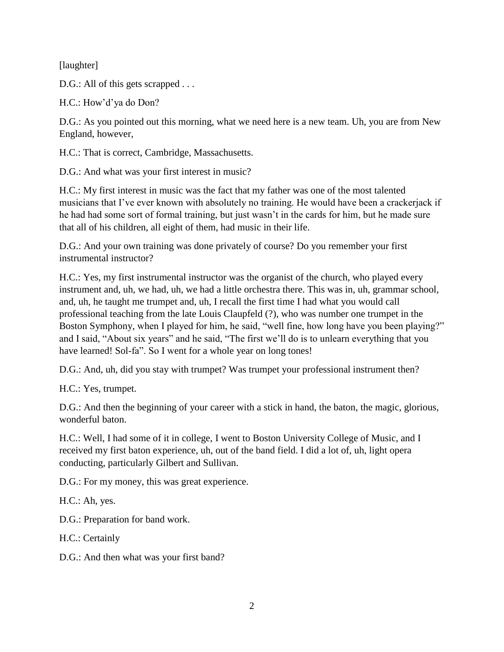[laughter]

D.G.: All of this gets scrapped . . .

H.C.: How'd'ya do Don?

D.G.: As you pointed out this morning, what we need here is a new team. Uh, you are from New England, however,

H.C.: That is correct, Cambridge, Massachusetts.

D.G.: And what was your first interest in music?

H.C.: My first interest in music was the fact that my father was one of the most talented musicians that I've ever known with absolutely no training. He would have been a crackerjack if he had had some sort of formal training, but just wasn't in the cards for him, but he made sure that all of his children, all eight of them, had music in their life.

D.G.: And your own training was done privately of course? Do you remember your first instrumental instructor?

H.C.: Yes, my first instrumental instructor was the organist of the church, who played every instrument and, uh, we had, uh, we had a little orchestra there. This was in, uh, grammar school, and, uh, he taught me trumpet and, uh, I recall the first time I had what you would call professional teaching from the late Louis Claupfeld (?), who was number one trumpet in the Boston Symphony, when I played for him, he said, "well fine, how long have you been playing?" and I said, "About six years" and he said, "The first we'll do is to unlearn everything that you have learned! Sol-fa". So I went for a whole year on long tones!

D.G.: And, uh, did you stay with trumpet? Was trumpet your professional instrument then?

H.C.: Yes, trumpet.

D.G.: And then the beginning of your career with a stick in hand, the baton, the magic, glorious, wonderful baton.

H.C.: Well, I had some of it in college, I went to Boston University College of Music, and I received my first baton experience, uh, out of the band field. I did a lot of, uh, light opera conducting, particularly Gilbert and Sullivan.

D.G.: For my money, this was great experience.

H.C.: Ah, yes.

D.G.: Preparation for band work.

H.C.: Certainly

D.G.: And then what was your first band?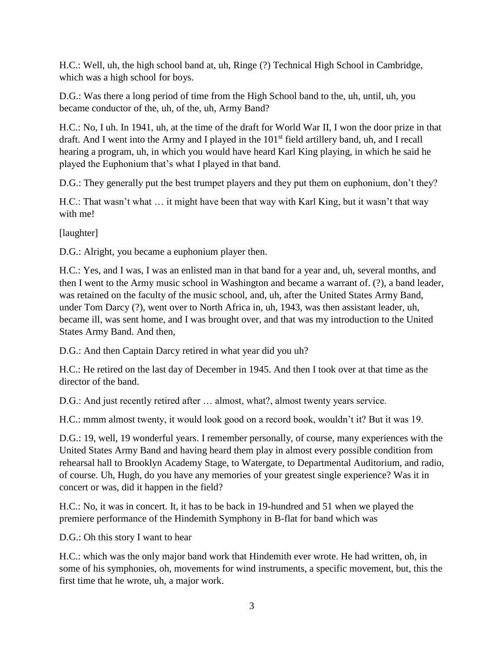H.C.: Well, uh, the high school band at, uh, Ringe (?) Technical High School in Cambridge, which was a high school for boys.

D.G.: Was there a long period of time from the High School band to the, uh, until, uh, you became conductor of the, uh, of the, uh, Army Band?

H.C.: No, I uh. In 1941, uh, at the time of the draft for World War II, I won the door prize in that draft. And I went into the Army and I played in the 101<sup>st</sup> field artillery band, uh, and I recall hearing a program, uh, in which you would have heard Karl King playing, in which he said he played the Euphonium that's what I played in that band.

D.G.: They generally put the best trumpet players and they put them on euphonium, don't they?

H.C.: That wasn't what … it might have been that way with Karl King, but it wasn't that way with me!

[laughter]

D.G.: Alright, you became a euphonium player then.

H.C.: Yes, and I was, I was an enlisted man in that band for a year and, uh, several months, and then I went to the Army music school in Washington and became a warrant of. (?), a band leader, was retained on the faculty of the music school, and, uh, after the United States Army Band, under Tom Darcy (?), went over to North Africa in, uh, 1943, was then assistant leader, uh, became ill, was sent home, and I was brought over, and that was my introduction to the United States Army Band. And then,

D.G.: And then Captain Darcy retired in what year did you uh?

H.C.: He retired on the last day of December in 1945. And then I took over at that time as the director of the band.

D.G.: And just recently retired after … almost, what?, almost twenty years service.

H.C.: mmm almost twenty, it would look good on a record book, wouldn't it? But it was 19.

D.G.: 19, well, 19 wonderful years. I remember personally, of course, many experiences with the United States Army Band and having heard them play in almost every possible condition from rehearsal hall to Brooklyn Academy Stage, to Watergate, to Departmental Auditorium, and radio, of course. Uh, Hugh, do you have any memories of your greatest single experience? Was it in concert or was, did it happen in the field?

H.C.: No, it was in concert. It, it has to be back in 19-hundred and 51 when we played the premiere performance of the Hindemith Symphony in B-flat for band which was

D.G.: Oh this story I want to hear

H.C.: which was the only major band work that Hindemith ever wrote. He had written, oh, in some of his symphonies, oh, movements for wind instruments, a specific movement, but, this the first time that he wrote, uh, a major work.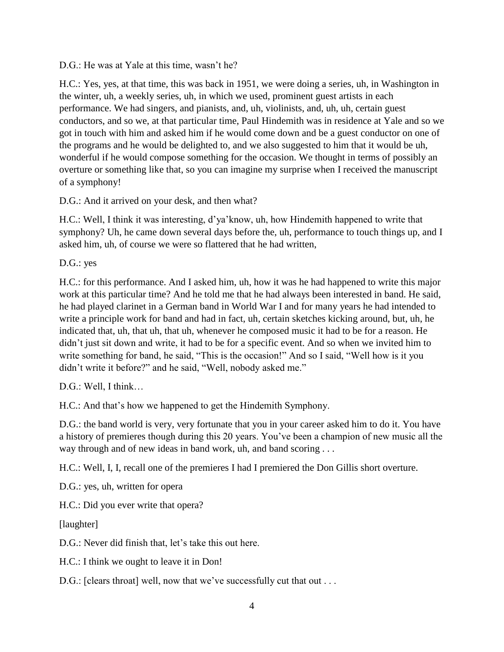D.G.: He was at Yale at this time, wasn't he?

H.C.: Yes, yes, at that time, this was back in 1951, we were doing a series, uh, in Washington in the winter, uh, a weekly series, uh, in which we used, prominent guest artists in each performance. We had singers, and pianists, and, uh, violinists, and, uh, uh, certain guest conductors, and so we, at that particular time, Paul Hindemith was in residence at Yale and so we got in touch with him and asked him if he would come down and be a guest conductor on one of the programs and he would be delighted to, and we also suggested to him that it would be uh, wonderful if he would compose something for the occasion. We thought in terms of possibly an overture or something like that, so you can imagine my surprise when I received the manuscript of a symphony!

D.G.: And it arrived on your desk, and then what?

H.C.: Well, I think it was interesting, d'ya'know, uh, how Hindemith happened to write that symphony? Uh, he came down several days before the, uh, performance to touch things up, and I asked him, uh, of course we were so flattered that he had written,

D.G.: yes

H.C.: for this performance. And I asked him, uh, how it was he had happened to write this major work at this particular time? And he told me that he had always been interested in band. He said, he had played clarinet in a German band in World War I and for many years he had intended to write a principle work for band and had in fact, uh, certain sketches kicking around, but, uh, he indicated that, uh, that uh, that uh, whenever he composed music it had to be for a reason. He didn't just sit down and write, it had to be for a specific event. And so when we invited him to write something for band, he said, "This is the occasion!" And so I said, "Well how is it you didn't write it before?" and he said, "Well, nobody asked me."

D.G.: Well, I think…

H.C.: And that's how we happened to get the Hindemith Symphony.

D.G.: the band world is very, very fortunate that you in your career asked him to do it. You have a history of premieres though during this 20 years. You've been a champion of new music all the way through and of new ideas in band work, uh, and band scoring . . .

H.C.: Well, I, I, recall one of the premieres I had I premiered the Don Gillis short overture.

D.G.: yes, uh, written for opera

H.C.: Did you ever write that opera?

[laughter]

D.G.: Never did finish that, let's take this out here.

H.C.: I think we ought to leave it in Don!

D.G.: [clears throat] well, now that we've successfully cut that out . . .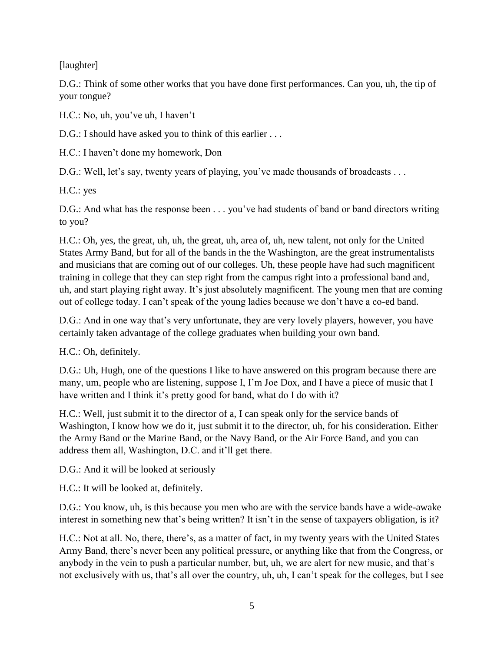[laughter]

D.G.: Think of some other works that you have done first performances. Can you, uh, the tip of your tongue?

H.C.: No, uh, you've uh, I haven't

D.G.: I should have asked you to think of this earlier ...

H.C.: I haven't done my homework, Don

D.G.: Well, let's say, twenty years of playing, you've made thousands of broadcasts . . .

H.C.: yes

D.G.: And what has the response been . . . you've had students of band or band directors writing to you?

H.C.: Oh, yes, the great, uh, uh, the great, uh, area of, uh, new talent, not only for the United States Army Band, but for all of the bands in the the Washington, are the great instrumentalists and musicians that are coming out of our colleges. Uh, these people have had such magnificent training in college that they can step right from the campus right into a professional band and, uh, and start playing right away. It's just absolutely magnificent. The young men that are coming out of college today. I can't speak of the young ladies because we don't have a co-ed band.

D.G.: And in one way that's very unfortunate, they are very lovely players, however, you have certainly taken advantage of the college graduates when building your own band.

H.C.: Oh, definitely.

D.G.: Uh, Hugh, one of the questions I like to have answered on this program because there are many, um, people who are listening, suppose I, I'm Joe Dox, and I have a piece of music that I have written and I think it's pretty good for band, what do I do with it?

H.C.: Well, just submit it to the director of a, I can speak only for the service bands of Washington, I know how we do it, just submit it to the director, uh, for his consideration. Either the Army Band or the Marine Band, or the Navy Band, or the Air Force Band, and you can address them all, Washington, D.C. and it'll get there.

D.G.: And it will be looked at seriously

H.C.: It will be looked at, definitely.

D.G.: You know, uh, is this because you men who are with the service bands have a wide-awake interest in something new that's being written? It isn't in the sense of taxpayers obligation, is it?

H.C.: Not at all. No, there, there's, as a matter of fact, in my twenty years with the United States Army Band, there's never been any political pressure, or anything like that from the Congress, or anybody in the vein to push a particular number, but, uh, we are alert for new music, and that's not exclusively with us, that's all over the country, uh, uh, I can't speak for the colleges, but I see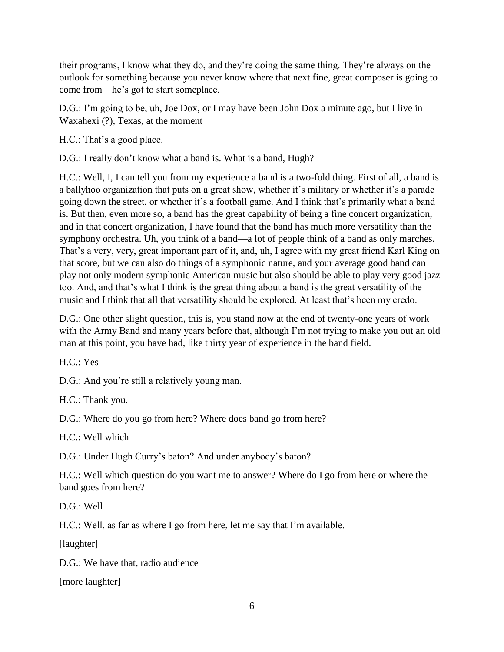their programs, I know what they do, and they're doing the same thing. They're always on the outlook for something because you never know where that next fine, great composer is going to come from—he's got to start someplace.

D.G.: I'm going to be, uh, Joe Dox, or I may have been John Dox a minute ago, but I live in Waxahexi (?), Texas, at the moment

H.C.: That's a good place.

D.G.: I really don't know what a band is. What is a band, Hugh?

H.C.: Well, I, I can tell you from my experience a band is a two-fold thing. First of all, a band is a ballyhoo organization that puts on a great show, whether it's military or whether it's a parade going down the street, or whether it's a football game. And I think that's primarily what a band is. But then, even more so, a band has the great capability of being a fine concert organization, and in that concert organization, I have found that the band has much more versatility than the symphony orchestra. Uh, you think of a band—a lot of people think of a band as only marches. That's a very, very, great important part of it, and, uh, I agree with my great friend Karl King on that score, but we can also do things of a symphonic nature, and your average good band can play not only modern symphonic American music but also should be able to play very good jazz too. And, and that's what I think is the great thing about a band is the great versatility of the music and I think that all that versatility should be explored. At least that's been my credo.

D.G.: One other slight question, this is, you stand now at the end of twenty-one years of work with the Army Band and many years before that, although I'm not trying to make you out an old man at this point, you have had, like thirty year of experience in the band field.

H.C.: Yes

D.G.: And you're still a relatively young man.

H.C.: Thank you.

D.G.: Where do you go from here? Where does band go from here?

H.C.: Well which

D.G.: Under Hugh Curry's baton? And under anybody's baton?

H.C.: Well which question do you want me to answer? Where do I go from here or where the band goes from here?

D.G.: Well

H.C.: Well, as far as where I go from here, let me say that I'm available.

[laughter]

D.G.: We have that, radio audience

[more laughter]